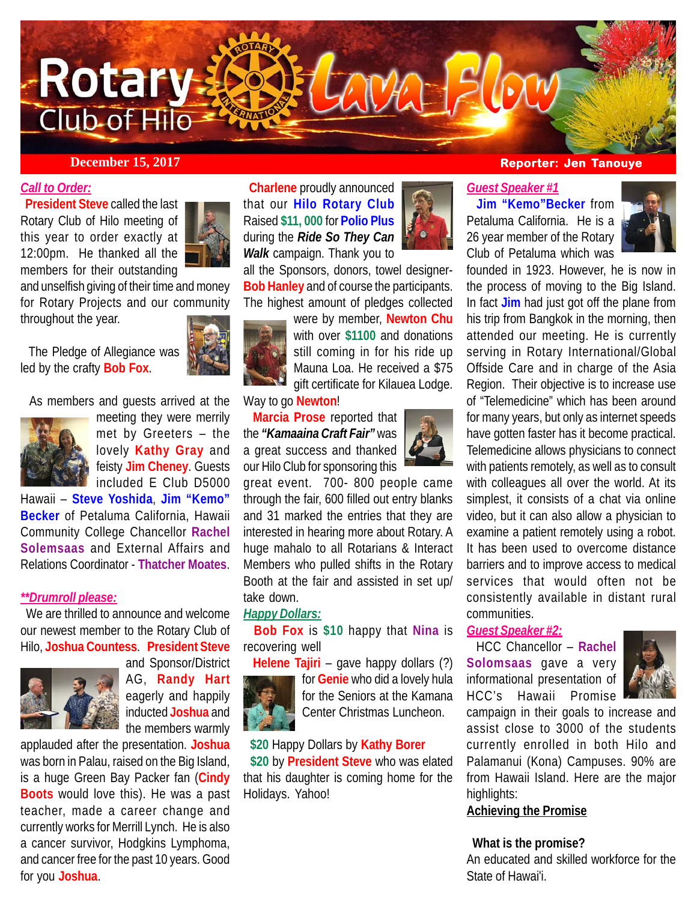

## *Call to Order:*

 **President Steve** called the last Rotary Club of Hilo meeting of this year to order exactly at 12:00pm. He thanked all the members for their outstanding



and unselfish giving of their time and money for Rotary Projects and our community throughout the year.

 The Pledge of Allegiance was led by the crafty **Bob Fox**.



As members and guests arrived at the



meeting they were merrily met by Greeters – the lovely **Kathy Gray** and feisty **Jim Cheney**. Guests included E Club D5000

Hawaii – **Steve Yoshida**, **Jim "Kemo" Becker** of Petaluma California, Hawaii Community College Chancellor **Rachel Solemsaas** and External Affairs and Relations Coordinator - **Thatcher Moates**.

### *\*\*Drumroll please:*

 We are thrilled to announce and welcome our newest member to the Rotary Club of Hilo, **Joshua Countess**. **President Steve**



and Sponsor/District AG, **Randy Hart** eagerly and happily inducted **Joshua** and the members warmly

applauded after the presentation. **Joshua** was born in Palau, raised on the Big Island, is a huge Green Bay Packer fan (**Cindy Boots** would love this). He was a past teacher, made a career change and currently works for Merrill Lynch. He is also a cancer survivor, Hodgkins Lymphoma, and cancer free for the past 10 years. Good for you **Joshua**.

 **Charlene** proudly announced that our **Hilo Rotary Club** Raised **\$11, 000** for **Polio Plus** during the *Ride So They Can Walk* campaign. Thank you to

all the Sponsors, donors, towel designer-**Bob Hanley** and of course the participants. The highest amount of pledges collected



were by member, **Newton Chu** with over **\$1100** and donations still coming in for his ride up Mauna Loa. He received a \$75 gift certificate for Kilauea Lodge.

Way to go **Newton**!

 **Marcia Prose** reported that the *"Kamaaina Craft Fair"* was a great success and thanked our Hilo Club for sponsoring this



great event. 700- 800 people came through the fair, 600 filled out entry blanks and 31 marked the entries that they are interested in hearing more about Rotary. A huge mahalo to all Rotarians & Interact Members who pulled shifts in the Rotary Booth at the fair and assisted in set up/ take down.

# *Happy Dollars:*

 **Bob Fox** is **\$10** happy that **Nina** is recovering well

 **Helene Tajiri** – gave happy dollars (?) for **Genie** who did a lovely hula for the Seniors at the Kamana Center Christmas Luncheon.

#### **\$20** Happy Dollars by **Kathy Borer**

 **\$20** by **President Steve** who was elated that his daughter is coming home for the Holidays. Yahoo!

## **December 15, 2017 Reporter: Jen Tanouye**

#### *Guest Speaker #1*

 **Jim "Kemo"Becker** from Petaluma California. He is a 26 year member of the Rotary Club of Petaluma which was



founded in 1923. However, he is now in the process of moving to the Big Island. In fact **Jim** had just got off the plane from his trip from Bangkok in the morning, then attended our meeting. He is currently serving in Rotary International/Global Offside Care and in charge of the Asia Region. Their objective is to increase use of "Telemedicine" which has been around for many years, but only as internet speeds have gotten faster has it become practical. Telemedicine allows physicians to connect with patients remotely, as well as to consult with colleagues all over the world. At its simplest, it consists of a chat via online video, but it can also allow a physician to examine a patient remotely using a robot. It has been used to overcome distance barriers and to improve access to medical services that would often not be consistently available in distant rural communities.

# *Guest Speaker #2:*

 HCC Chancellor – **Rachel Solomsaas** gave a very informational presentation of HCC's Hawaii Promise



campaign in their goals to increase and assist close to 3000 of the students currently enrolled in both Hilo and Palamanui (Kona) Campuses. 90% are from Hawaii Island. Here are the major highlights:

# **Achieving the Promise**

#### **What is the promise?**

An educated and skilled workforce for the State of Hawai'i.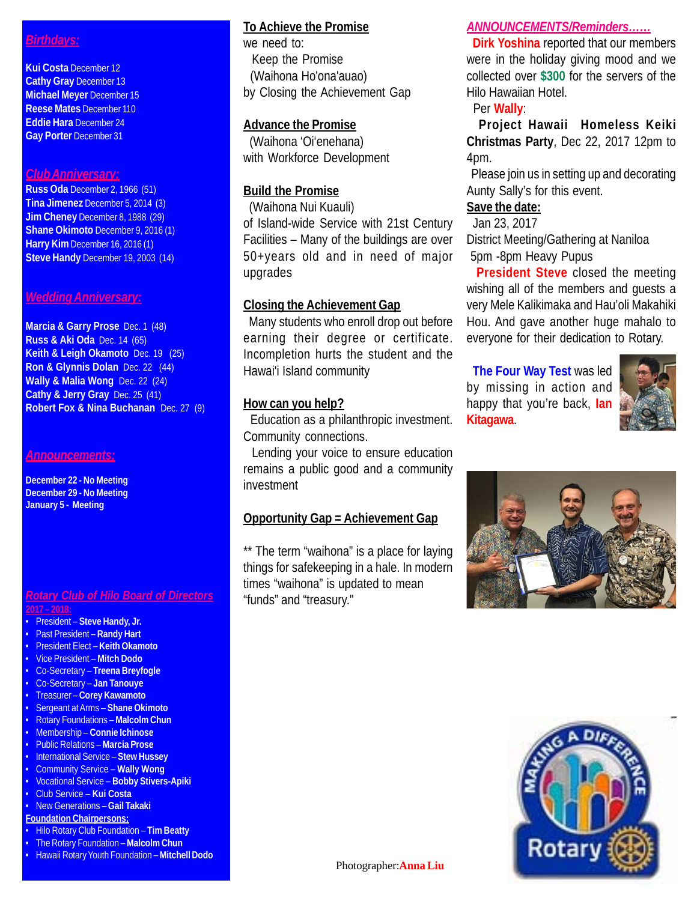# *Birthdays:*

**Kui Costa** December 12 **Cathy Gray** December 13 **Michael Meyer** December 15 **Reese Mates** December 110 **Eddie Hara** December 24 **Gay Porter** December 31

#### *Club Anniversary:*

**Russ Oda** December 2, 1966 (51) **Tina Jimenez** December 5, 2014 (3) **Jim Cheney** December 8, 1988 (29) **Shane Okimoto** December 9, 2016 (1) **Harry Kim** December 16, 2016 (1) **Steve Handy** December 19, 2003 (14)

#### *Wedding Anniversary:*

**Marcia & Garry Prose** Dec. 1 (48) **Russ & Aki Oda** Dec. 14 (65) **Keith & Leigh Okamoto** Dec. 19 (25) **Ron & Glynnis Dolan** Dec. 22 (44) **Wally & Malia Wong** Dec. 22 (24) **Cathy & Jerry Gray** Dec. 25 (41) **Robert Fox & Nina Buchanan** Dec. 27 (9)

#### *Announcements:*

**December 22 - No Meeting December 29 - No Meeting January 5 - Meeting**

#### *Rotary Club of Hilo Board of Directors* **2017 – 2018:**

- President Elect **Keith Okamoto**
- Vice President **Mitch Dodo**
- Co-Secretary **Treena Breyfogle**
- Co-Secretary **Jan Tanouye**
- 
- 
- Membership **Connie Ichinose**
- Public Relations **Marcia Prose**
- International Service **Stew Hussey**
- Community Service **Wally Wong**
- Vocational Service **Bobby Stivers-Apiki**
- Club Service **Kui Costa**
- New Generations **Gail Takaki Foundation Chairpersons:**
- 
- Hilo Rotary Club Foundation **Tim Beatty**
- The Rotary Foundation **Malcolm Chun** • Hawaii Rotary Youth Foundation – **Mitchell Dodo**

# **To Achieve the Promise**

we need to: Keep the Promise (Waihona Ho'ona'auao) by Closing the Achievement Gap

# **Advance the Promise**

 (Waihona 'Oi'enehana) with Workforce Development

# **Build the Promise**

 (Waihona Nui Kuauli) of Island-wide Service with 21st Century Facilities – Many of the buildings are over 50+years old and in need of major upgrades

# **Closing the Achievement Gap**

 Many students who enroll drop out before earning their degree or certificate. Incompletion hurts the student and the Hawai'i Island community

# **How can you help?**

 Education as a philanthropic investment. Community connections.

 Lending your voice to ensure education remains a public good and a community investment

# **Opportunity Gap = Achievement Gap**

\*\* The term "waihona" is a place for laying things for safekeeping in a hale. In modern times "waihona" is updated to mean "funds" and "treasury."

# *ANNOUNCEMENTS/Reminders……*

 **Dirk Yoshina** reported that our members were in the holiday giving mood and we collected over **\$300** for the servers of the Hilo Hawaiian Hotel.

# Per **Wally**:

 **Project Hawaii Homeless Keiki Christmas Party**, Dec 22, 2017 12pm to 4pm.

 Please join us in setting up and decorating Aunty Sally's for this event.

# **Save the date:**

### Jan 23, 2017

District Meeting/Gathering at Naniloa 5pm -8pm Heavy Pupus

 **President Steve** closed the meeting wishing all of the members and guests a very Mele Kalikimaka and Hau'oli Makahiki Hou. And gave another huge mahalo to everyone for their dedication to Rotary.

 **The Four Way Test** was led by missing in action and happy that you're back, **Ian Kitagawa**.







- President **Steve Handy, Jr.** • Past President – **Randy Hart**
- 
- 
- 

# • Treasurer – **Corey Kawamoto**

# • Sergeant at Arms – **Shane Okimoto**

# • Rotary Foundations – **Malcolm Chun**